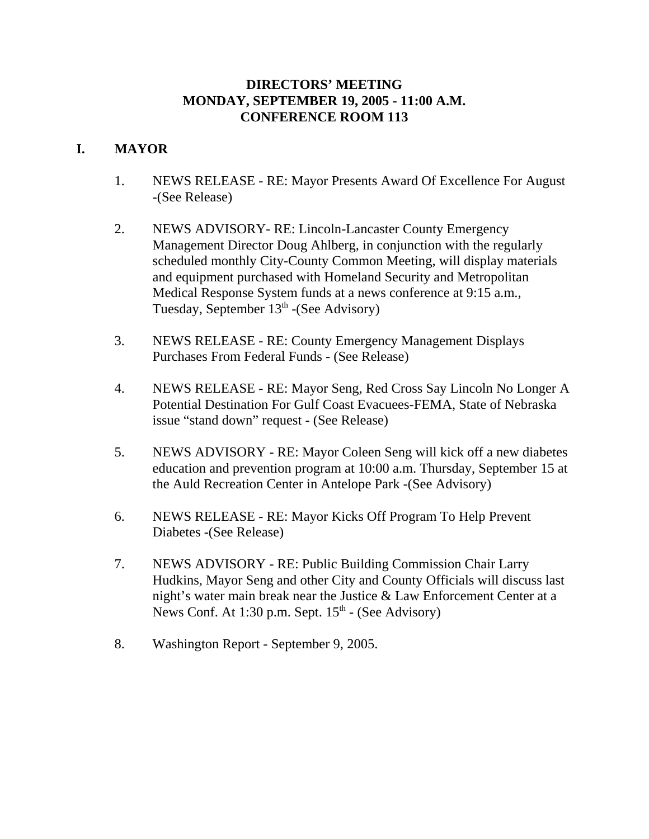## **DIRECTORS' MEETING MONDAY, SEPTEMBER 19, 2005 - 11:00 A.M. CONFERENCE ROOM 113**

# **I. MAYOR**

- 1. NEWS RELEASE RE: Mayor Presents Award Of Excellence For August -(See Release)
- 2. NEWS ADVISORY- RE: Lincoln-Lancaster County Emergency Management Director Doug Ahlberg, in conjunction with the regularly scheduled monthly City-County Common Meeting, will display materials and equipment purchased with Homeland Security and Metropolitan Medical Response System funds at a news conference at 9:15 a.m., Tuesday, September  $13<sup>th</sup>$  -(See Advisory)
- 3. NEWS RELEASE RE: County Emergency Management Displays Purchases From Federal Funds - (See Release)
- 4. NEWS RELEASE RE: Mayor Seng, Red Cross Say Lincoln No Longer A Potential Destination For Gulf Coast Evacuees-FEMA, State of Nebraska issue "stand down" request - (See Release)
- 5. NEWS ADVISORY RE: Mayor Coleen Seng will kick off a new diabetes education and prevention program at 10:00 a.m. Thursday, September 15 at the Auld Recreation Center in Antelope Park -(See Advisory)
- 6. NEWS RELEASE RE: Mayor Kicks Off Program To Help Prevent Diabetes -(See Release)
- 7. NEWS ADVISORY RE: Public Building Commission Chair Larry Hudkins, Mayor Seng and other City and County Officials will discuss last night's water main break near the Justice & Law Enforcement Center at a News Conf. At  $1:30$  p.m. Sept.  $15<sup>th</sup>$  - (See Advisory)
- 8. Washington Report September 9, 2005.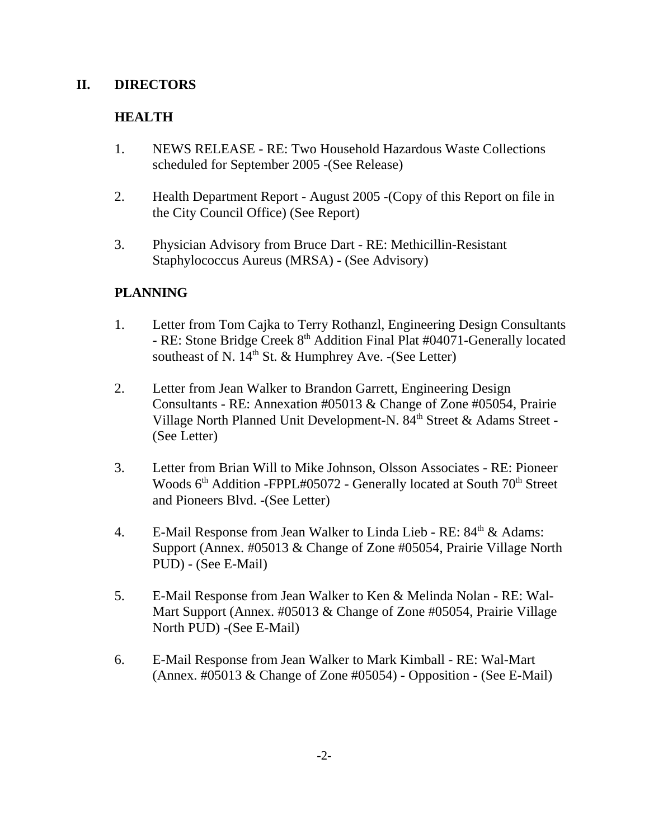## **II. DIRECTORS**

# **HEALTH**

- 1. NEWS RELEASE RE: Two Household Hazardous Waste Collections scheduled for September 2005 -(See Release)
- 2. Health Department Report August 2005 -(Copy of this Report on file in the City Council Office) (See Report)
- 3. Physician Advisory from Bruce Dart RE: Methicillin-Resistant Staphylococcus Aureus (MRSA) - (See Advisory)

# **PLANNING**

- 1. Letter from Tom Cajka to Terry Rothanzl, Engineering Design Consultants - RE: Stone Bridge Creek 8<sup>th</sup> Addition Final Plat #04071-Generally located southeast of N.  $14<sup>th</sup>$  St. & Humphrey Ave. -(See Letter)
- 2. Letter from Jean Walker to Brandon Garrett, Engineering Design Consultants - RE: Annexation #05013 & Change of Zone #05054, Prairie Village North Planned Unit Development-N. 84<sup>th</sup> Street & Adams Street -(See Letter)
- 3. Letter from Brian Will to Mike Johnson, Olsson Associates RE: Pioneer Woods  $6<sup>th</sup>$  Addition -FPPL#05072 - Generally located at South  $70<sup>th</sup>$  Street and Pioneers Blvd. -(See Letter)
- 4. E-Mail Response from Jean Walker to Linda Lieb RE:  $84<sup>th</sup>$  & Adams: Support (Annex. #05013 & Change of Zone #05054, Prairie Village North PUD) - (See E-Mail)
- 5. E-Mail Response from Jean Walker to Ken & Melinda Nolan RE: Wal-Mart Support (Annex. #05013 & Change of Zone #05054, Prairie Village North PUD) -(See E-Mail)
- 6. E-Mail Response from Jean Walker to Mark Kimball RE: Wal-Mart (Annex. #05013 & Change of Zone #05054) - Opposition - (See E-Mail)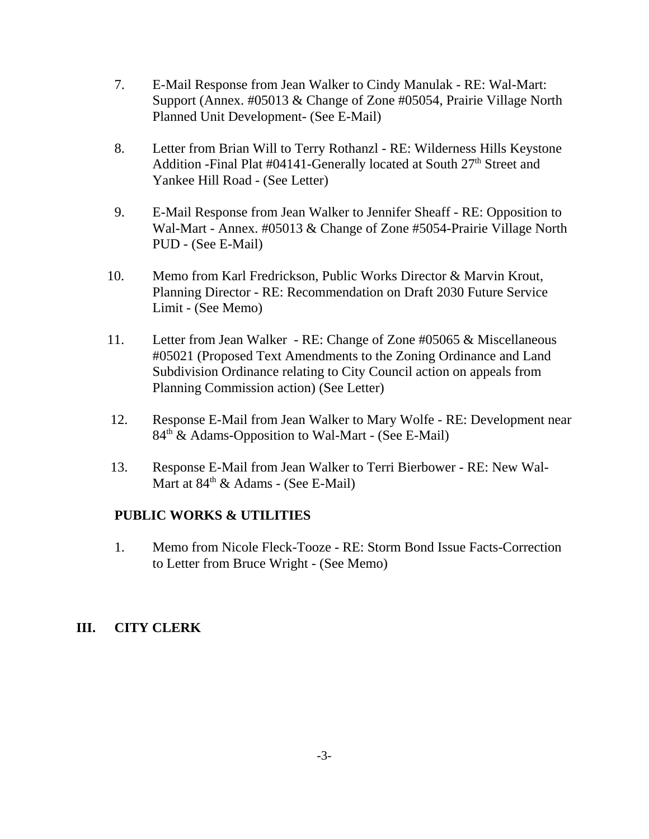- 7. E-Mail Response from Jean Walker to Cindy Manulak RE: Wal-Mart: Support (Annex. #05013 & Change of Zone #05054, Prairie Village North Planned Unit Development- (See E-Mail)
- 8. Letter from Brian Will to Terry Rothanzl RE: Wilderness Hills Keystone Addition -Final Plat #04141-Generally located at South 27<sup>th</sup> Street and Yankee Hill Road - (See Letter)
- 9. E-Mail Response from Jean Walker to Jennifer Sheaff RE: Opposition to Wal-Mart - Annex. #05013 & Change of Zone #5054-Prairie Village North PUD - (See E-Mail)
- 10. Memo from Karl Fredrickson, Public Works Director & Marvin Krout, Planning Director - RE: Recommendation on Draft 2030 Future Service Limit - (See Memo)
- 11. Letter from Jean Walker RE: Change of Zone #05065 & Miscellaneous #05021 (Proposed Text Amendments to the Zoning Ordinance and Land Subdivision Ordinance relating to City Council action on appeals from Planning Commission action) (See Letter)
- 12. Response E-Mail from Jean Walker to Mary Wolfe RE: Development near 84<sup>th</sup> & Adams-Opposition to Wal-Mart - (See E-Mail)
- 13. Response E-Mail from Jean Walker to Terri Bierbower RE: New Wal-Mart at  $84<sup>th</sup>$  & Adams - (See E-Mail)

## **PUBLIC WORKS & UTILITIES**

1. Memo from Nicole Fleck-Tooze - RE: Storm Bond Issue Facts-Correction to Letter from Bruce Wright - (See Memo)

## **III. CITY CLERK**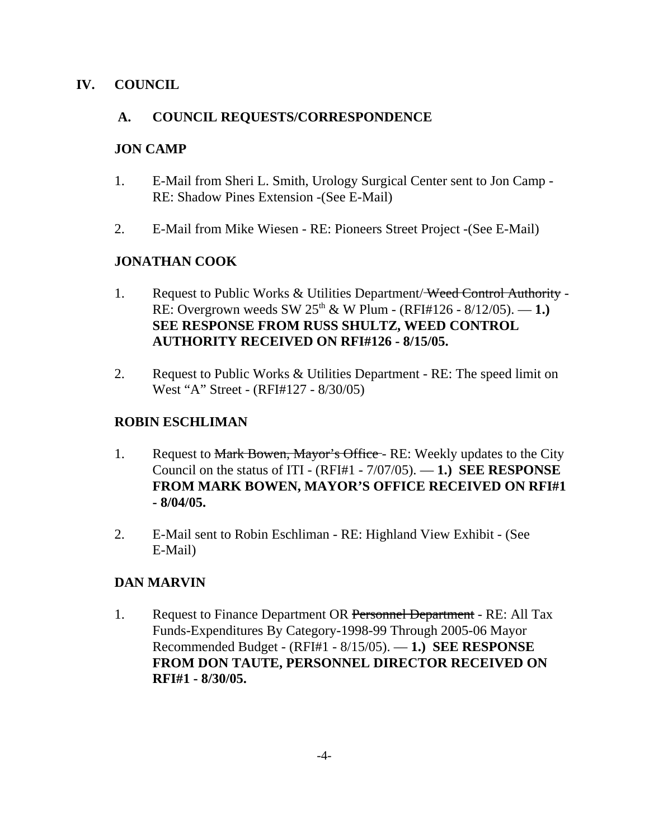## **IV. COUNCIL**

## **A. COUNCIL REQUESTS/CORRESPONDENCE**

## **JON CAMP**

- 1. E-Mail from Sheri L. Smith, Urology Surgical Center sent to Jon Camp RE: Shadow Pines Extension -(See E-Mail)
- 2. E-Mail from Mike Wiesen RE: Pioneers Street Project -(See E-Mail)

# **JONATHAN COOK**

- 1. Request to Public Works & Utilities Department/<del>Weed Control Authority</del> -RE: Overgrown weeds SW  $25^{th}$  & W Plum - (RFI#126 - 8/12/05). — 1.) **SEE RESPONSE FROM RUSS SHULTZ, WEED CONTROL AUTHORITY RECEIVED ON RFI#126 - 8/15/05.**
- 2. Request to Public Works & Utilities Department RE: The speed limit on West "A" Street - (RFI#127 - 8/30/05)

## **ROBIN ESCHLIMAN**

- 1. Request to Mark Bowen, Mayor's Office RE: Weekly updates to the City Council on the status of ITI - (RFI#1 - 7/07/05). — **1.) SEE RESPONSE FROM MARK BOWEN, MAYOR'S OFFICE RECEIVED ON RFI#1 - 8/04/05.**
- 2. E-Mail sent to Robin Eschliman RE: Highland View Exhibit (See E-Mail)

# **DAN MARVIN**

1. Request to Finance Department OR Personnel Department - RE: All Tax Funds-Expenditures By Category-1998-99 Through 2005-06 Mayor Recommended Budget - (RFI#1 - 8/15/05). — **1.) SEE RESPONSE FROM DON TAUTE, PERSONNEL DIRECTOR RECEIVED ON RFI#1 - 8/30/05.**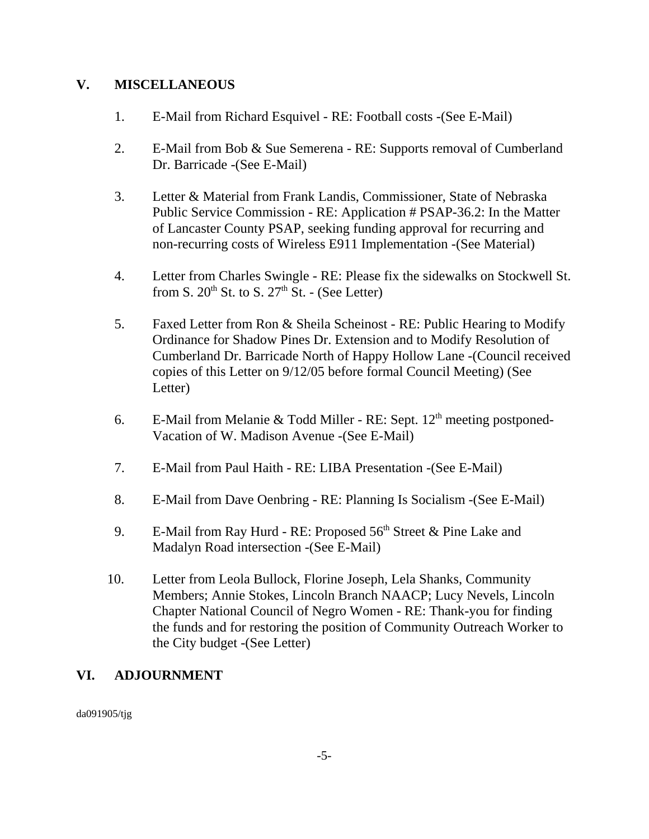## **V. MISCELLANEOUS**

- 1. E-Mail from Richard Esquivel RE: Football costs -(See E-Mail)
- 2. E-Mail from Bob & Sue Semerena RE: Supports removal of Cumberland Dr. Barricade -(See E-Mail)
- 3. Letter & Material from Frank Landis, Commissioner, State of Nebraska Public Service Commission - RE: Application # PSAP-36.2: In the Matter of Lancaster County PSAP, seeking funding approval for recurring and non-recurring costs of Wireless E911 Implementation -(See Material)
- 4. Letter from Charles Swingle RE: Please fix the sidewalks on Stockwell St. from S.  $20^{th}$  St. to S.  $27^{th}$  St. - (See Letter)
- 5. Faxed Letter from Ron & Sheila Scheinost RE: Public Hearing to Modify Ordinance for Shadow Pines Dr. Extension and to Modify Resolution of Cumberland Dr. Barricade North of Happy Hollow Lane -(Council received copies of this Letter on 9/12/05 before formal Council Meeting) (See Letter)
- 6. E-Mail from Melanie & Todd Miller RE: Sept.  $12<sup>th</sup>$  meeting postponed-Vacation of W. Madison Avenue -(See E-Mail)
- 7. E-Mail from Paul Haith RE: LIBA Presentation -(See E-Mail)
- 8. E-Mail from Dave Oenbring RE: Planning Is Socialism -(See E-Mail)
- 9. E-Mail from Ray Hurd RE: Proposed  $56<sup>th</sup>$  Street & Pine Lake and Madalyn Road intersection -(See E-Mail)
- 10. Letter from Leola Bullock, Florine Joseph, Lela Shanks, Community Members; Annie Stokes, Lincoln Branch NAACP; Lucy Nevels, Lincoln Chapter National Council of Negro Women - RE: Thank-you for finding the funds and for restoring the position of Community Outreach Worker to the City budget -(See Letter)

# **VI. ADJOURNMENT**

da091905/tjg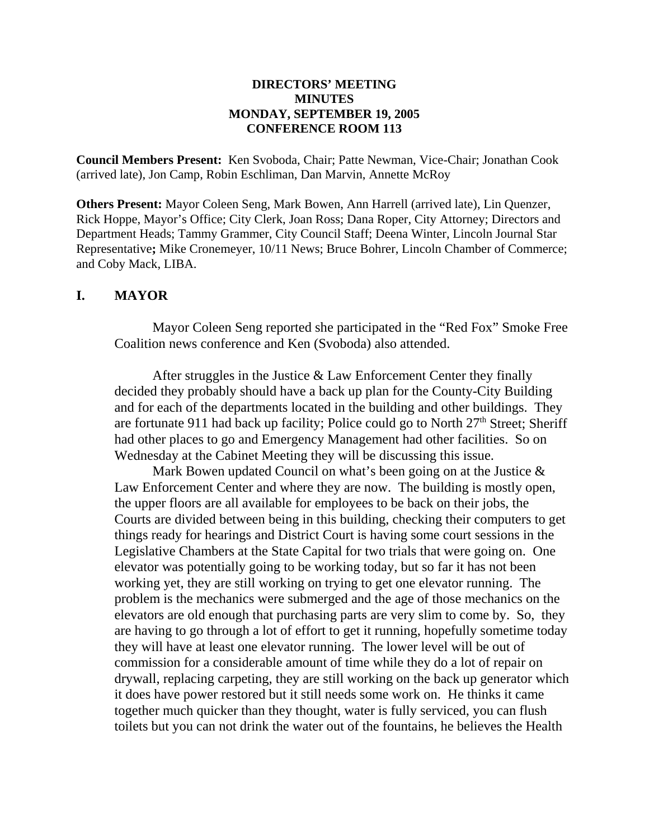### **DIRECTORS' MEETING MINUTES MONDAY, SEPTEMBER 19, 2005 CONFERENCE ROOM 113**

**Council Members Present:** Ken Svoboda, Chair; Patte Newman, Vice-Chair; Jonathan Cook (arrived late), Jon Camp, Robin Eschliman, Dan Marvin, Annette McRoy

**Others Present:** Mayor Coleen Seng, Mark Bowen, Ann Harrell (arrived late), Lin Quenzer, Rick Hoppe, Mayor's Office; City Clerk, Joan Ross; Dana Roper, City Attorney; Directors and Department Heads; Tammy Grammer, City Council Staff; Deena Winter, Lincoln Journal Star Representative**;** Mike Cronemeyer, 10/11 News; Bruce Bohrer, Lincoln Chamber of Commerce; and Coby Mack, LIBA.

## **I. MAYOR**

Mayor Coleen Seng reported she participated in the "Red Fox" Smoke Free Coalition news conference and Ken (Svoboda) also attended.

After struggles in the Justice & Law Enforcement Center they finally decided they probably should have a back up plan for the County-City Building and for each of the departments located in the building and other buildings. They are fortunate 911 had back up facility; Police could go to North  $27<sup>th</sup>$  Street; Sheriff had other places to go and Emergency Management had other facilities. So on Wednesday at the Cabinet Meeting they will be discussing this issue.

Mark Bowen updated Council on what's been going on at the Justice  $\&$ Law Enforcement Center and where they are now. The building is mostly open, the upper floors are all available for employees to be back on their jobs, the Courts are divided between being in this building, checking their computers to get things ready for hearings and District Court is having some court sessions in the Legislative Chambers at the State Capital for two trials that were going on. One elevator was potentially going to be working today, but so far it has not been working yet, they are still working on trying to get one elevator running. The problem is the mechanics were submerged and the age of those mechanics on the elevators are old enough that purchasing parts are very slim to come by. So, they are having to go through a lot of effort to get it running, hopefully sometime today they will have at least one elevator running. The lower level will be out of commission for a considerable amount of time while they do a lot of repair on drywall, replacing carpeting, they are still working on the back up generator which it does have power restored but it still needs some work on. He thinks it came together much quicker than they thought, water is fully serviced, you can flush toilets but you can not drink the water out of the fountains, he believes the Health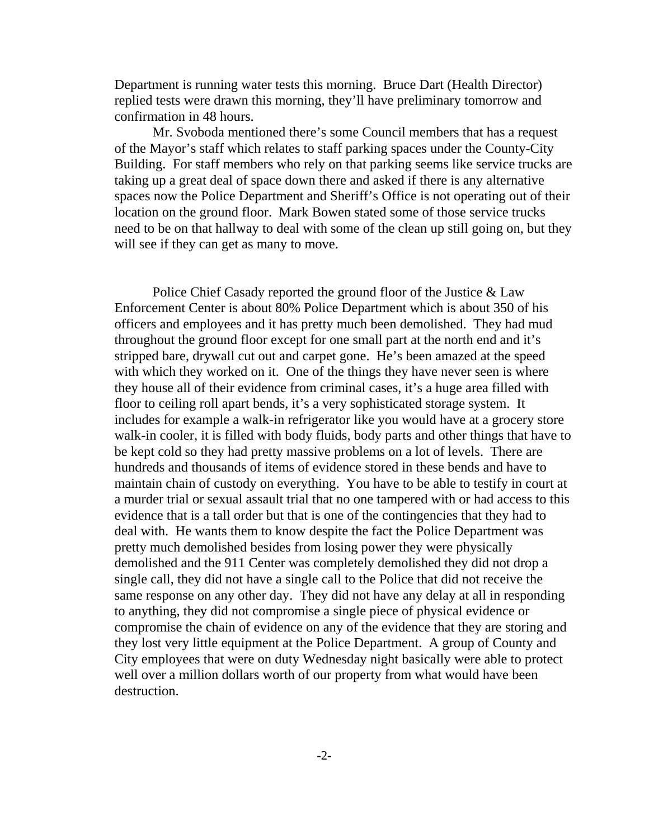Department is running water tests this morning. Bruce Dart (Health Director) replied tests were drawn this morning, they'll have preliminary tomorrow and confirmation in 48 hours.

Mr. Svoboda mentioned there's some Council members that has a request of the Mayor's staff which relates to staff parking spaces under the County-City Building. For staff members who rely on that parking seems like service trucks are taking up a great deal of space down there and asked if there is any alternative spaces now the Police Department and Sheriff's Office is not operating out of their location on the ground floor. Mark Bowen stated some of those service trucks need to be on that hallway to deal with some of the clean up still going on, but they will see if they can get as many to move.

Police Chief Casady reported the ground floor of the Justice & Law Enforcement Center is about 80% Police Department which is about 350 of his officers and employees and it has pretty much been demolished. They had mud throughout the ground floor except for one small part at the north end and it's stripped bare, drywall cut out and carpet gone. He's been amazed at the speed with which they worked on it. One of the things they have never seen is where they house all of their evidence from criminal cases, it's a huge area filled with floor to ceiling roll apart bends, it's a very sophisticated storage system. It includes for example a walk-in refrigerator like you would have at a grocery store walk-in cooler, it is filled with body fluids, body parts and other things that have to be kept cold so they had pretty massive problems on a lot of levels. There are hundreds and thousands of items of evidence stored in these bends and have to maintain chain of custody on everything. You have to be able to testify in court at a murder trial or sexual assault trial that no one tampered with or had access to this evidence that is a tall order but that is one of the contingencies that they had to deal with. He wants them to know despite the fact the Police Department was pretty much demolished besides from losing power they were physically demolished and the 911 Center was completely demolished they did not drop a single call, they did not have a single call to the Police that did not receive the same response on any other day. They did not have any delay at all in responding to anything, they did not compromise a single piece of physical evidence or compromise the chain of evidence on any of the evidence that they are storing and they lost very little equipment at the Police Department. A group of County and City employees that were on duty Wednesday night basically were able to protect well over a million dollars worth of our property from what would have been destruction.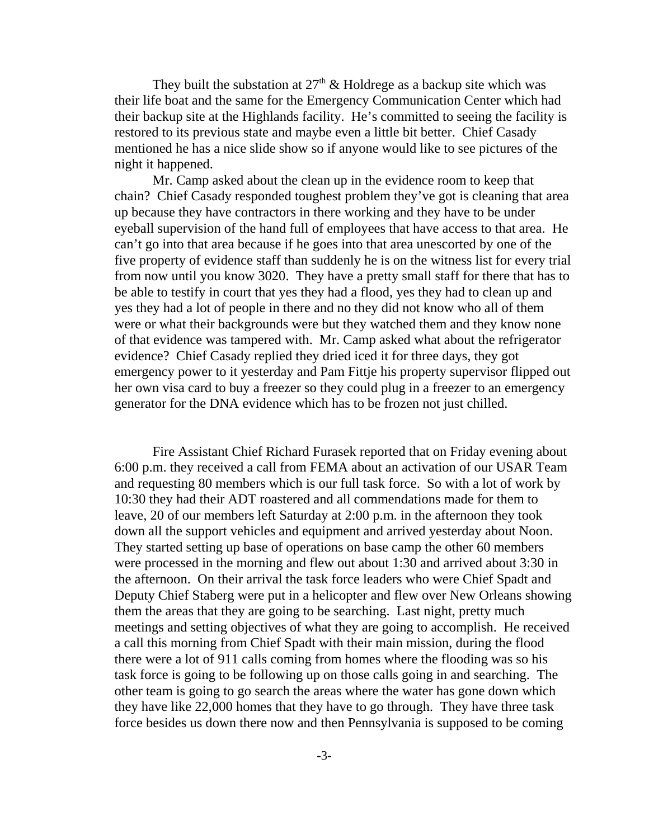They built the substation at  $27<sup>th</sup>$  & Holdrege as a backup site which was their life boat and the same for the Emergency Communication Center which had their backup site at the Highlands facility. He's committed to seeing the facility is restored to its previous state and maybe even a little bit better. Chief Casady mentioned he has a nice slide show so if anyone would like to see pictures of the night it happened.

Mr. Camp asked about the clean up in the evidence room to keep that chain? Chief Casady responded toughest problem they've got is cleaning that area up because they have contractors in there working and they have to be under eyeball supervision of the hand full of employees that have access to that area. He can't go into that area because if he goes into that area unescorted by one of the five property of evidence staff than suddenly he is on the witness list for every trial from now until you know 3020. They have a pretty small staff for there that has to be able to testify in court that yes they had a flood, yes they had to clean up and yes they had a lot of people in there and no they did not know who all of them were or what their backgrounds were but they watched them and they know none of that evidence was tampered with. Mr. Camp asked what about the refrigerator evidence? Chief Casady replied they dried iced it for three days, they got emergency power to it yesterday and Pam Fittje his property supervisor flipped out her own visa card to buy a freezer so they could plug in a freezer to an emergency generator for the DNA evidence which has to be frozen not just chilled.

Fire Assistant Chief Richard Furasek reported that on Friday evening about 6:00 p.m. they received a call from FEMA about an activation of our USAR Team and requesting 80 members which is our full task force. So with a lot of work by 10:30 they had their ADT roastered and all commendations made for them to leave, 20 of our members left Saturday at 2:00 p.m. in the afternoon they took down all the support vehicles and equipment and arrived yesterday about Noon. They started setting up base of operations on base camp the other 60 members were processed in the morning and flew out about 1:30 and arrived about 3:30 in the afternoon. On their arrival the task force leaders who were Chief Spadt and Deputy Chief Staberg were put in a helicopter and flew over New Orleans showing them the areas that they are going to be searching. Last night, pretty much meetings and setting objectives of what they are going to accomplish. He received a call this morning from Chief Spadt with their main mission, during the flood there were a lot of 911 calls coming from homes where the flooding was so his task force is going to be following up on those calls going in and searching. The other team is going to go search the areas where the water has gone down which they have like 22,000 homes that they have to go through. They have three task force besides us down there now and then Pennsylvania is supposed to be coming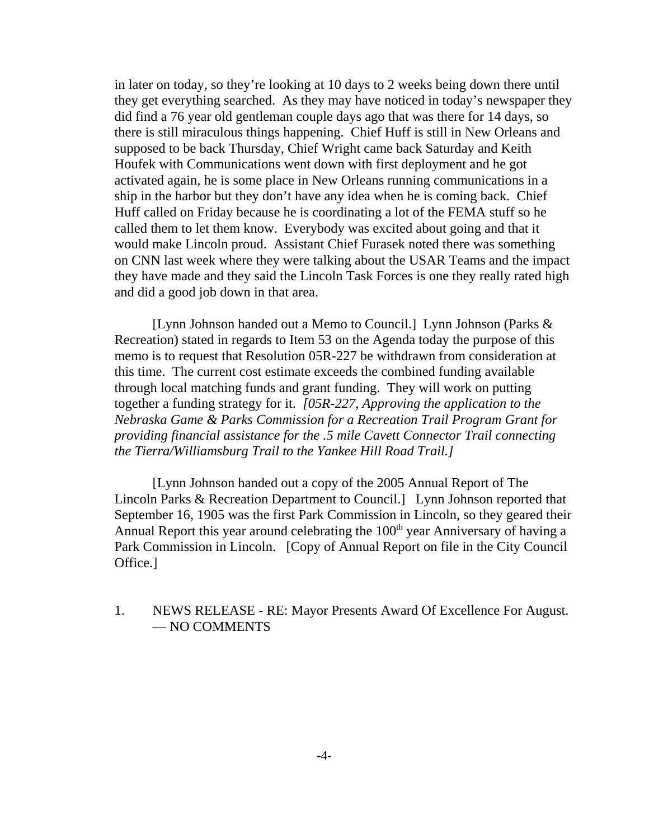in later on today, so they're looking at 10 days to 2 weeks being down there until they get everything searched. As they may have noticed in today's newspaper they did find a 76 year old gentleman couple days ago that was there for 14 days, so there is still miraculous things happening. Chief Huff is still in New Orleans and supposed to be back Thursday, Chief Wright came back Saturday and Keith Houfek with Communications went down with first deployment and he got activated again, he is some place in New Orleans running communications in a ship in the harbor but they don't have any idea when he is coming back. Chief Huff called on Friday because he is coordinating a lot of the FEMA stuff so he called them to let them know. Everybody was excited about going and that it would make Lincoln proud. Assistant Chief Furasek noted there was something on CNN last week where they were talking about the USAR Teams and the impact they have made and they said the Lincoln Task Forces is one they really rated high and did a good job down in that area.

[Lynn Johnson handed out a Memo to Council.] Lynn Johnson (Parks & Recreation) stated in regards to Item 53 on the Agenda today the purpose of this memo is to request that Resolution 05R-227 be withdrawn from consideration at this time. The current cost estimate exceeds the combined funding available through local matching funds and grant funding. They will work on putting together a funding strategy for it. *[05R-227, Approving the application to the Nebraska Game & Parks Commission for a Recreation Trail Program Grant for providing financial assistance for the .5 mile Cavett Connector Trail connecting the Tierra/Williamsburg Trail to the Yankee Hill Road Trail.]*

[Lynn Johnson handed out a copy of the 2005 Annual Report of The Lincoln Parks & Recreation Department to Council.] Lynn Johnson reported that September 16, 1905 was the first Park Commission in Lincoln, so they geared their Annual Report this year around celebrating the  $100<sup>th</sup>$  year Anniversary of having a Park Commission in Lincoln. [Copy of Annual Report on file in the City Council Office.]

1. NEWS RELEASE - RE: Mayor Presents Award Of Excellence For August. — NO COMMENTS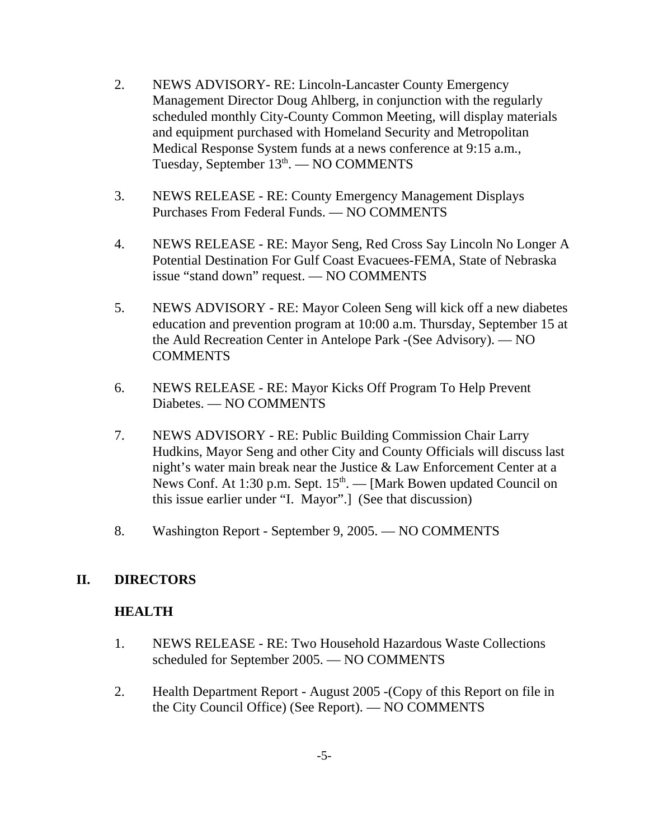- 2. NEWS ADVISORY- RE: Lincoln-Lancaster County Emergency Management Director Doug Ahlberg, in conjunction with the regularly scheduled monthly City-County Common Meeting, will display materials and equipment purchased with Homeland Security and Metropolitan Medical Response System funds at a news conference at 9:15 a.m., Tuesday, September 13<sup>th</sup>. — NO COMMENTS
- 3. NEWS RELEASE RE: County Emergency Management Displays Purchases From Federal Funds. — NO COMMENTS
- 4. NEWS RELEASE RE: Mayor Seng, Red Cross Say Lincoln No Longer A Potential Destination For Gulf Coast Evacuees-FEMA, State of Nebraska issue "stand down" request. — NO COMMENTS
- 5. NEWS ADVISORY RE: Mayor Coleen Seng will kick off a new diabetes education and prevention program at 10:00 a.m. Thursday, September 15 at the Auld Recreation Center in Antelope Park -(See Advisory). — NO **COMMENTS**
- 6. NEWS RELEASE RE: Mayor Kicks Off Program To Help Prevent Diabetes. — NO COMMENTS
- 7. NEWS ADVISORY RE: Public Building Commission Chair Larry Hudkins, Mayor Seng and other City and County Officials will discuss last night's water main break near the Justice & Law Enforcement Center at a News Conf. At 1:30 p.m. Sept.  $15<sup>th</sup>$ .  $-$  [Mark Bowen updated Council on this issue earlier under "I. Mayor".] (See that discussion)
- 8. Washington Report September 9, 2005. NO COMMENTS

## **II. DIRECTORS**

## **HEALTH**

- 1. NEWS RELEASE RE: Two Household Hazardous Waste Collections scheduled for September 2005. — NO COMMENTS
- 2. Health Department Report August 2005 -(Copy of this Report on file in the City Council Office) (See Report). — NO COMMENTS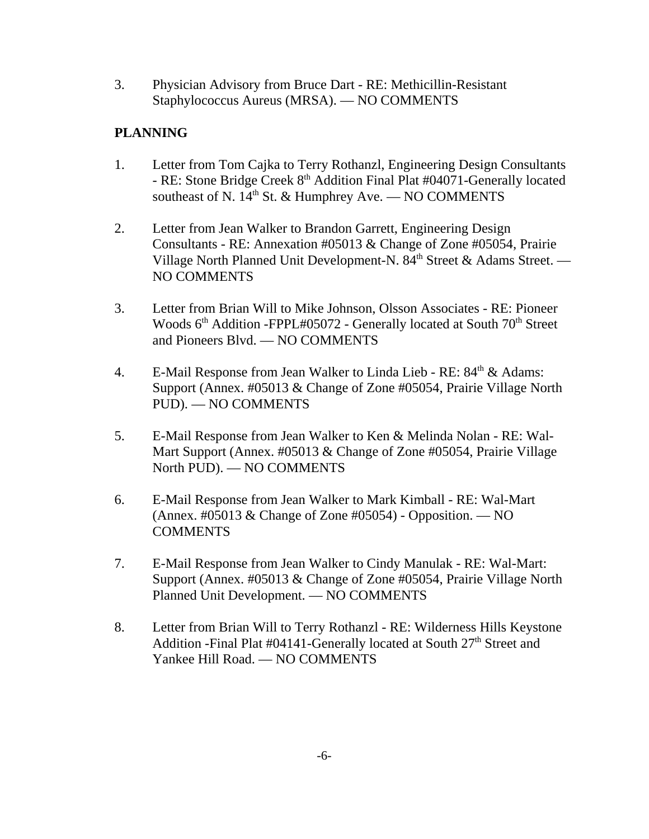3. Physician Advisory from Bruce Dart - RE: Methicillin-Resistant Staphylococcus Aureus (MRSA). — NO COMMENTS

# **PLANNING**

- 1. Letter from Tom Cajka to Terry Rothanzl, Engineering Design Consultants - RE: Stone Bridge Creek 8<sup>th</sup> Addition Final Plat #04071-Generally located southeast of N.  $14^{th}$  St. & Humphrey Ave. — NO COMMENTS
- 2. Letter from Jean Walker to Brandon Garrett, Engineering Design Consultants - RE: Annexation #05013 & Change of Zone #05054, Prairie Village North Planned Unit Development-N. 84<sup>th</sup> Street & Adams Street. — NO COMMENTS
- 3. Letter from Brian Will to Mike Johnson, Olsson Associates RE: Pioneer Woods  $6<sup>th</sup>$  Addition -FPPL#05072 - Generally located at South  $70<sup>th</sup>$  Street and Pioneers Blvd. — NO COMMENTS
- 4. E-Mail Response from Jean Walker to Linda Lieb RE: 84<sup>th</sup> & Adams: Support (Annex. #05013 & Change of Zone #05054, Prairie Village North PUD). — NO COMMENTS
- 5. E-Mail Response from Jean Walker to Ken & Melinda Nolan RE: Wal-Mart Support (Annex. #05013 & Change of Zone #05054, Prairie Village North PUD). — NO COMMENTS
- 6. E-Mail Response from Jean Walker to Mark Kimball RE: Wal-Mart (Annex. #05013 & Change of Zone #05054) - Opposition. — NO COMMENTS
- 7. E-Mail Response from Jean Walker to Cindy Manulak RE: Wal-Mart: Support (Annex. #05013 & Change of Zone #05054, Prairie Village North Planned Unit Development. — NO COMMENTS
- 8. Letter from Brian Will to Terry Rothanzl RE: Wilderness Hills Keystone Addition -Final Plat #04141-Generally located at South 27<sup>th</sup> Street and Yankee Hill Road. — NO COMMENTS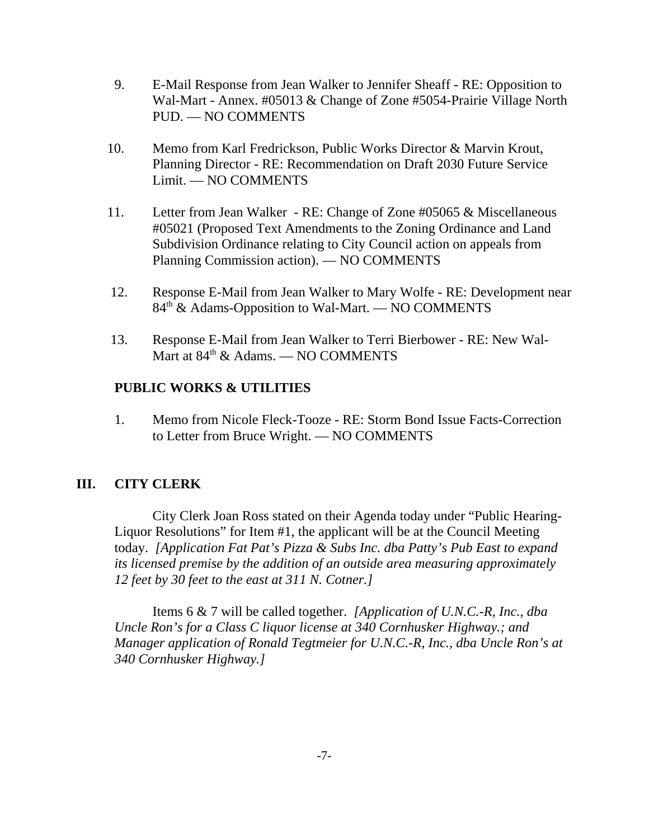- 9. E-Mail Response from Jean Walker to Jennifer Sheaff RE: Opposition to Wal-Mart - Annex. #05013 & Change of Zone #5054-Prairie Village North PUD. — NO COMMENTS
- 10. Memo from Karl Fredrickson, Public Works Director & Marvin Krout, Planning Director - RE: Recommendation on Draft 2030 Future Service Limit. — NO COMMENTS
- 11. Letter from Jean Walker RE: Change of Zone #05065 & Miscellaneous #05021 (Proposed Text Amendments to the Zoning Ordinance and Land Subdivision Ordinance relating to City Council action on appeals from Planning Commission action). — NO COMMENTS
- 12. Response E-Mail from Jean Walker to Mary Wolfe RE: Development near 84<sup>th</sup> & Adams-Opposition to Wal-Mart. — NO COMMENTS
- 13. Response E-Mail from Jean Walker to Terri Bierbower RE: New Wal-Mart at  $84<sup>th</sup>$  & Adams. — NO COMMENTS

### **PUBLIC WORKS & UTILITIES**

1. Memo from Nicole Fleck-Tooze - RE: Storm Bond Issue Facts-Correction to Letter from Bruce Wright. — NO COMMENTS

## **III. CITY CLERK**

City Clerk Joan Ross stated on their Agenda today under "Public Hearing-Liquor Resolutions" for Item #1, the applicant will be at the Council Meeting today. *[Application Fat Pat's Pizza & Subs Inc. dba Patty's Pub East to expand its licensed premise by the addition of an outside area measuring approximately 12 feet by 30 feet to the east at 311 N. Cotner.]* 

Items 6 & 7 will be called together. *[Application of U.N.C.-R, Inc., dba Uncle Ron's for a Class C liquor license at 340 Cornhusker Highway.; and Manager application of Ronald Tegtmeier for U.N.C.-R, Inc., dba Uncle Ron's at 340 Cornhusker Highway.]*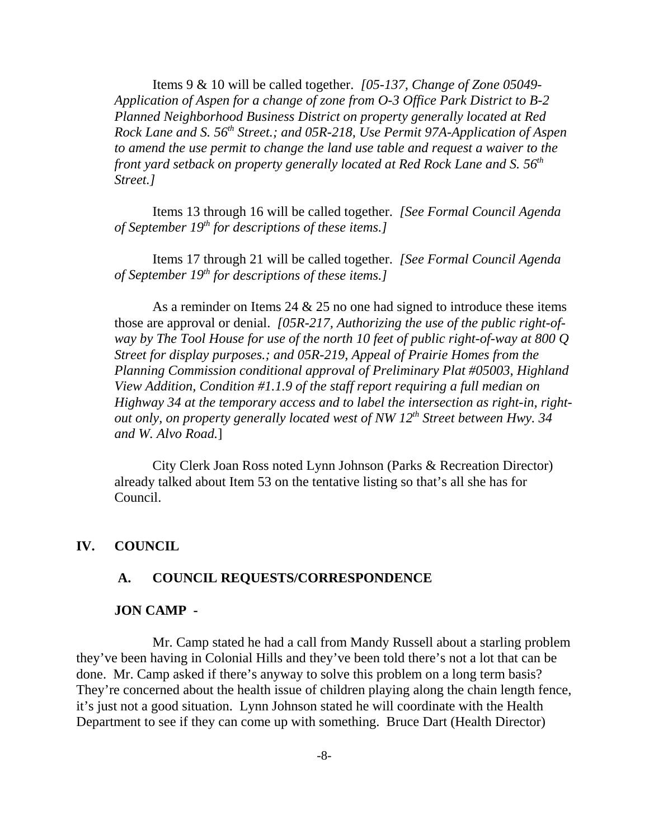Items 9 & 10 will be called together. *[05-137, Change of Zone 05049- Application of Aspen for a change of zone from O-3 Office Park District to B-2 Planned Neighborhood Business District on property generally located at Red Rock Lane and S. 56th Street.; and 05R-218, Use Permit 97A-Application of Aspen to amend the use permit to change the land use table and request a waiver to the front yard setback on property generally located at Red Rock Lane and S.* 56<sup>th</sup> *Street.]* 

Items 13 through 16 will be called together. *[See Formal Council Agenda of September 19th for descriptions of these items.]*

Items 17 through 21 will be called together. *[See Formal Council Agenda of September 19th for descriptions of these items.]* 

As a reminder on Items 24  $& 25$  no one had signed to introduce these items those are approval or denial. *[05R-217, Authorizing the use of the public right-ofway by The Tool House for use of the north 10 feet of public right-of-way at 800 Q Street for display purposes.; and 05R-219, Appeal of Prairie Homes from the Planning Commission conditional approval of Preliminary Plat #05003, Highland View Addition, Condition #1.1.9 of the staff report requiring a full median on Highway 34 at the temporary access and to label the intersection as right-in, rightout only, on property generally located west of NW 12th Street between Hwy. 34 and W. Alvo Road.*]

City Clerk Joan Ross noted Lynn Johnson (Parks & Recreation Director) already talked about Item 53 on the tentative listing so that's all she has for Council.

#### **IV. COUNCIL**

#### **A. COUNCIL REQUESTS/CORRESPONDENCE**

#### **JON CAMP -**

Mr. Camp stated he had a call from Mandy Russell about a starling problem they've been having in Colonial Hills and they've been told there's not a lot that can be done. Mr. Camp asked if there's anyway to solve this problem on a long term basis? They're concerned about the health issue of children playing along the chain length fence, it's just not a good situation. Lynn Johnson stated he will coordinate with the Health Department to see if they can come up with something. Bruce Dart (Health Director)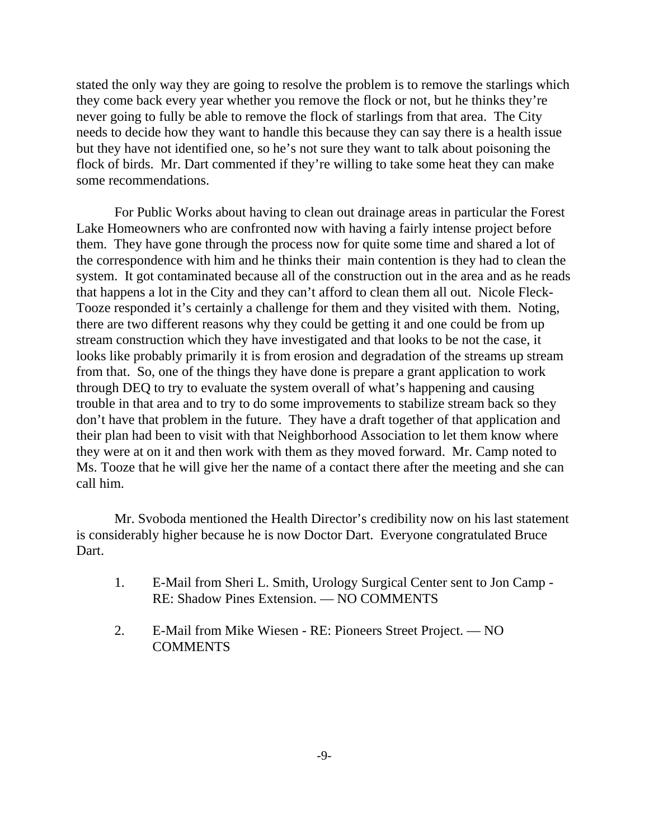stated the only way they are going to resolve the problem is to remove the starlings which they come back every year whether you remove the flock or not, but he thinks they're never going to fully be able to remove the flock of starlings from that area. The City needs to decide how they want to handle this because they can say there is a health issue but they have not identified one, so he's not sure they want to talk about poisoning the flock of birds. Mr. Dart commented if they're willing to take some heat they can make some recommendations.

For Public Works about having to clean out drainage areas in particular the Forest Lake Homeowners who are confronted now with having a fairly intense project before them. They have gone through the process now for quite some time and shared a lot of the correspondence with him and he thinks their main contention is they had to clean the system. It got contaminated because all of the construction out in the area and as he reads that happens a lot in the City and they can't afford to clean them all out. Nicole Fleck-Tooze responded it's certainly a challenge for them and they visited with them. Noting, there are two different reasons why they could be getting it and one could be from up stream construction which they have investigated and that looks to be not the case, it looks like probably primarily it is from erosion and degradation of the streams up stream from that. So, one of the things they have done is prepare a grant application to work through DEQ to try to evaluate the system overall of what's happening and causing trouble in that area and to try to do some improvements to stabilize stream back so they don't have that problem in the future. They have a draft together of that application and their plan had been to visit with that Neighborhood Association to let them know where they were at on it and then work with them as they moved forward. Mr. Camp noted to Ms. Tooze that he will give her the name of a contact there after the meeting and she can call him.

 Mr. Svoboda mentioned the Health Director's credibility now on his last statement is considerably higher because he is now Doctor Dart. Everyone congratulated Bruce Dart.

- 1. E-Mail from Sheri L. Smith, Urology Surgical Center sent to Jon Camp RE: Shadow Pines Extension. — NO COMMENTS
- 2. E-Mail from Mike Wiesen RE: Pioneers Street Project. NO COMMENTS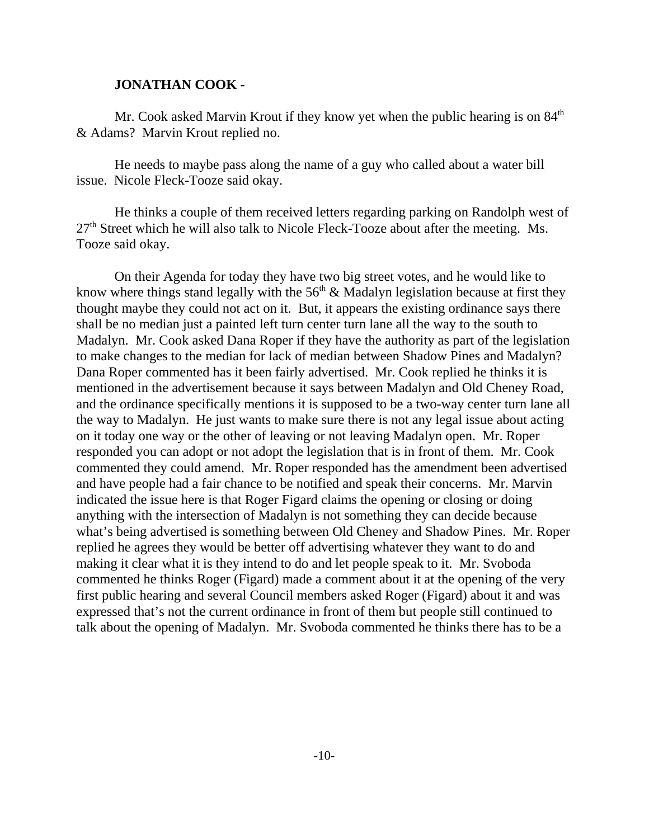#### **JONATHAN COOK -**

Mr. Cook asked Marvin Krout if they know yet when the public hearing is on  $84<sup>th</sup>$ & Adams? Marvin Krout replied no.

He needs to maybe pass along the name of a guy who called about a water bill issue. Nicole Fleck-Tooze said okay.

He thinks a couple of them received letters regarding parking on Randolph west of  $27<sup>th</sup>$  Street which he will also talk to Nicole Fleck-Tooze about after the meeting. Ms. Tooze said okay.

On their Agenda for today they have two big street votes, and he would like to know where things stand legally with the  $56<sup>th</sup>$  & Madalyn legislation because at first they thought maybe they could not act on it. But, it appears the existing ordinance says there shall be no median just a painted left turn center turn lane all the way to the south to Madalyn. Mr. Cook asked Dana Roper if they have the authority as part of the legislation to make changes to the median for lack of median between Shadow Pines and Madalyn? Dana Roper commented has it been fairly advertised. Mr. Cook replied he thinks it is mentioned in the advertisement because it says between Madalyn and Old Cheney Road, and the ordinance specifically mentions it is supposed to be a two-way center turn lane all the way to Madalyn. He just wants to make sure there is not any legal issue about acting on it today one way or the other of leaving or not leaving Madalyn open. Mr. Roper responded you can adopt or not adopt the legislation that is in front of them. Mr. Cook commented they could amend. Mr. Roper responded has the amendment been advertised and have people had a fair chance to be notified and speak their concerns. Mr. Marvin indicated the issue here is that Roger Figard claims the opening or closing or doing anything with the intersection of Madalyn is not something they can decide because what's being advertised is something between Old Cheney and Shadow Pines. Mr. Roper replied he agrees they would be better off advertising whatever they want to do and making it clear what it is they intend to do and let people speak to it. Mr. Svoboda commented he thinks Roger (Figard) made a comment about it at the opening of the very first public hearing and several Council members asked Roger (Figard) about it and was expressed that's not the current ordinance in front of them but people still continued to talk about the opening of Madalyn. Mr. Svoboda commented he thinks there has to be a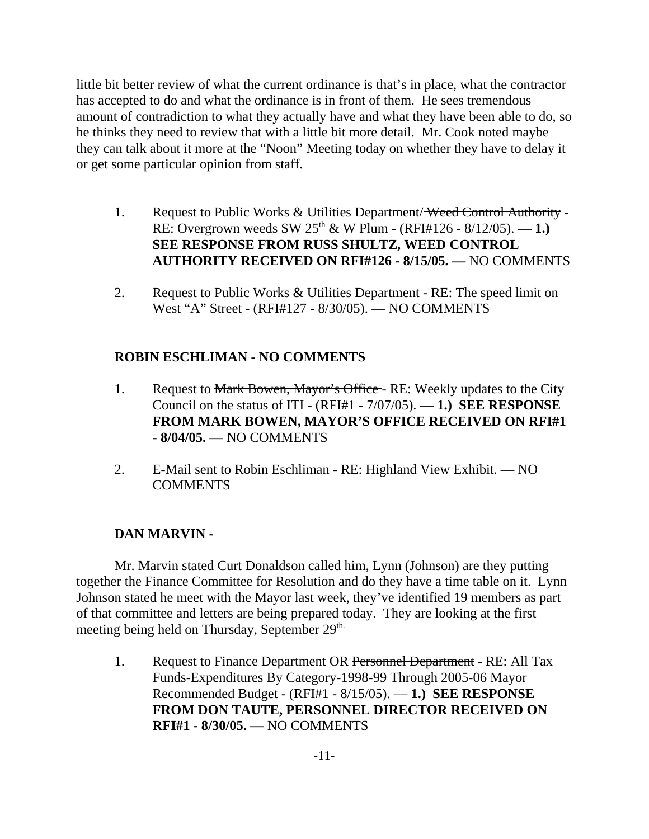little bit better review of what the current ordinance is that's in place, what the contractor has accepted to do and what the ordinance is in front of them. He sees tremendous amount of contradiction to what they actually have and what they have been able to do, so he thinks they need to review that with a little bit more detail. Mr. Cook noted maybe they can talk about it more at the "Noon" Meeting today on whether they have to delay it or get some particular opinion from staff.

- 1. Request to Public Works & Utilities Department/Weed Control Authority -RE: Overgrown weeds SW 25th & W Plum - (RFI#126 - 8/12/05). — **1.) SEE RESPONSE FROM RUSS SHULTZ, WEED CONTROL AUTHORITY RECEIVED ON RFI#126 - 8/15/05. —** NO COMMENTS
- 2. Request to Public Works & Utilities Department RE: The speed limit on West "A" Street - (RFI#127 - 8/30/05). — NO COMMENTS

# **ROBIN ESCHLIMAN - NO COMMENTS**

- 1. Request to Mark Bowen, Mayor's Office RE: Weekly updates to the City Council on the status of ITI - (RFI#1 - 7/07/05). — **1.) SEE RESPONSE FROM MARK BOWEN, MAYOR'S OFFICE RECEIVED ON RFI#1 - 8/04/05. —** NO COMMENTS
- 2. E-Mail sent to Robin Eschliman RE: Highland View Exhibit. NO COMMENTS

# **DAN MARVIN -**

Mr. Marvin stated Curt Donaldson called him, Lynn (Johnson) are they putting together the Finance Committee for Resolution and do they have a time table on it. Lynn Johnson stated he meet with the Mayor last week, they've identified 19 members as part of that committee and letters are being prepared today. They are looking at the first meeting being held on Thursday, September 29<sup>th.</sup>

1. Request to Finance Department OR Personnel Department - RE: All Tax Funds-Expenditures By Category-1998-99 Through 2005-06 Mayor Recommended Budget - (RFI#1 - 8/15/05). — **1.) SEE RESPONSE FROM DON TAUTE, PERSONNEL DIRECTOR RECEIVED ON RFI#1 - 8/30/05. —** NO COMMENTS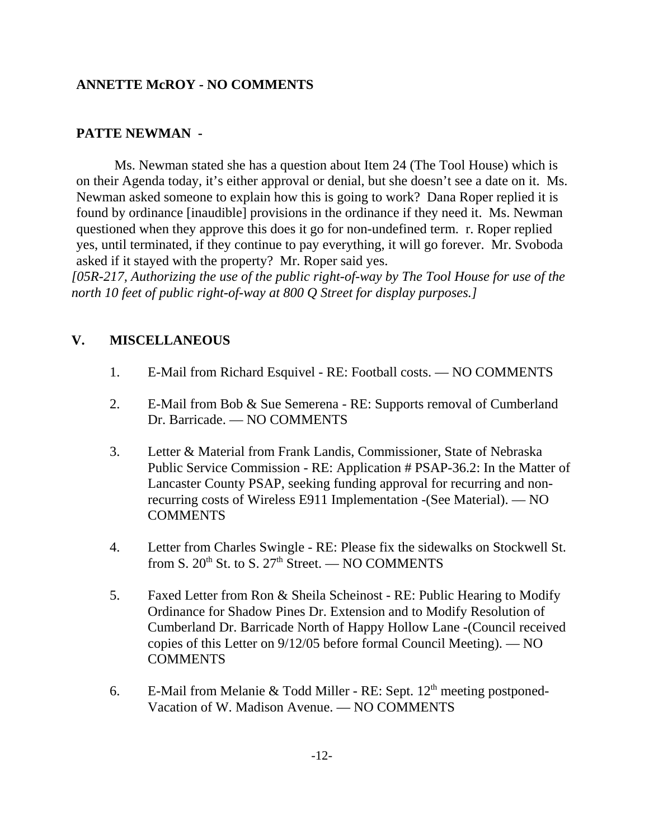## **ANNETTE McROY - NO COMMENTS**

# **PATTE NEWMAN -**

Ms. Newman stated she has a question about Item 24 (The Tool House) which is on their Agenda today, it's either approval or denial, but she doesn't see a date on it. Ms. Newman asked someone to explain how this is going to work? Dana Roper replied it is found by ordinance [inaudible] provisions in the ordinance if they need it. Ms. Newman questioned when they approve this does it go for non-undefined term. r. Roper replied yes, until terminated, if they continue to pay everything, it will go forever. Mr. Svoboda asked if it stayed with the property? Mr. Roper said yes.

*[05R-217, Authorizing the use of the public right-of-way by The Tool House for use of the north 10 feet of public right-of-way at 800 Q Street for display purposes.]* 

## **V. MISCELLANEOUS**

- 1. E-Mail from Richard Esquivel RE: Football costs. NO COMMENTS
- 2. E-Mail from Bob & Sue Semerena RE: Supports removal of Cumberland Dr. Barricade. — NO COMMENTS
- 3. Letter & Material from Frank Landis, Commissioner, State of Nebraska Public Service Commission - RE: Application # PSAP-36.2: In the Matter of Lancaster County PSAP, seeking funding approval for recurring and nonrecurring costs of Wireless E911 Implementation -(See Material). — NO COMMENTS
- 4. Letter from Charles Swingle RE: Please fix the sidewalks on Stockwell St. from S.  $20^{th}$  St. to S.  $27^{th}$  Street. — NO COMMENTS
- 5. Faxed Letter from Ron & Sheila Scheinost RE: Public Hearing to Modify Ordinance for Shadow Pines Dr. Extension and to Modify Resolution of Cumberland Dr. Barricade North of Happy Hollow Lane -(Council received copies of this Letter on 9/12/05 before formal Council Meeting). — NO **COMMENTS**
- 6. E-Mail from Melanie & Todd Miller RE: Sept.  $12<sup>th</sup>$  meeting postponed-Vacation of W. Madison Avenue. — NO COMMENTS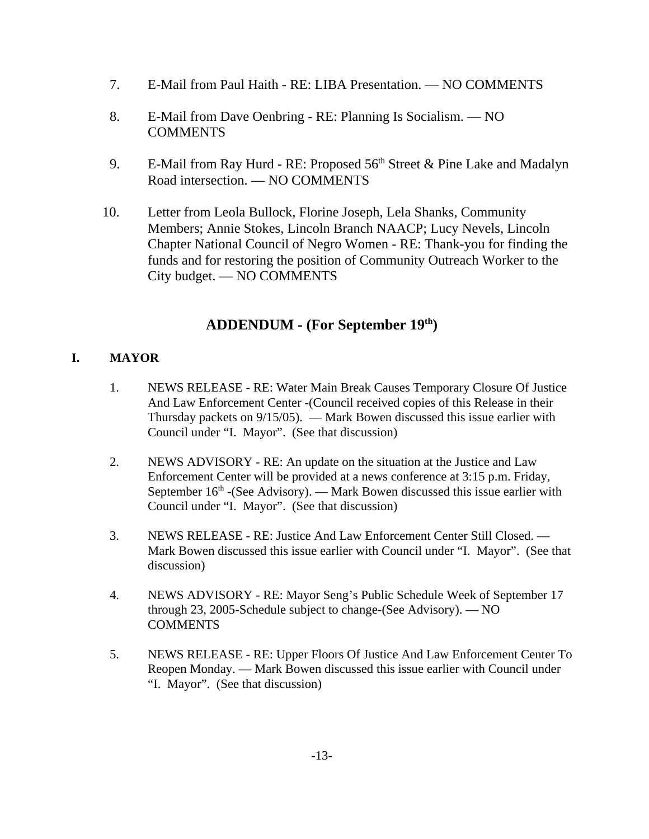- 7. E-Mail from Paul Haith RE: LIBA Presentation. NO COMMENTS
- 8. E-Mail from Dave Oenbring RE: Planning Is Socialism. NO **COMMENTS**
- 9. E-Mail from Ray Hurd RE: Proposed  $56<sup>th</sup>$  Street & Pine Lake and Madalyn Road intersection. — NO COMMENTS
- 10. Letter from Leola Bullock, Florine Joseph, Lela Shanks, Community Members; Annie Stokes, Lincoln Branch NAACP; Lucy Nevels, Lincoln Chapter National Council of Negro Women - RE: Thank-you for finding the funds and for restoring the position of Community Outreach Worker to the City budget. — NO COMMENTS

# **ADDENDUM - (For September 19th)**

## **I. MAYOR**

- 1. NEWS RELEASE RE: Water Main Break Causes Temporary Closure Of Justice And Law Enforcement Center -(Council received copies of this Release in their Thursday packets on 9/15/05). — Mark Bowen discussed this issue earlier with Council under "I. Mayor". (See that discussion)
- 2. NEWS ADVISORY RE: An update on the situation at the Justice and Law Enforcement Center will be provided at a news conference at 3:15 p.m. Friday, September  $16<sup>th</sup>$  -(See Advisory). — Mark Bowen discussed this issue earlier with Council under "I. Mayor". (See that discussion)
- 3. NEWS RELEASE RE: Justice And Law Enforcement Center Still Closed. Mark Bowen discussed this issue earlier with Council under "I. Mayor". (See that discussion)
- 4. NEWS ADVISORY RE: Mayor Seng's Public Schedule Week of September 17 through 23, 2005-Schedule subject to change-(See Advisory). — NO **COMMENTS**
- 5. NEWS RELEASE RE: Upper Floors Of Justice And Law Enforcement Center To Reopen Monday. — Mark Bowen discussed this issue earlier with Council under "I. Mayor". (See that discussion)